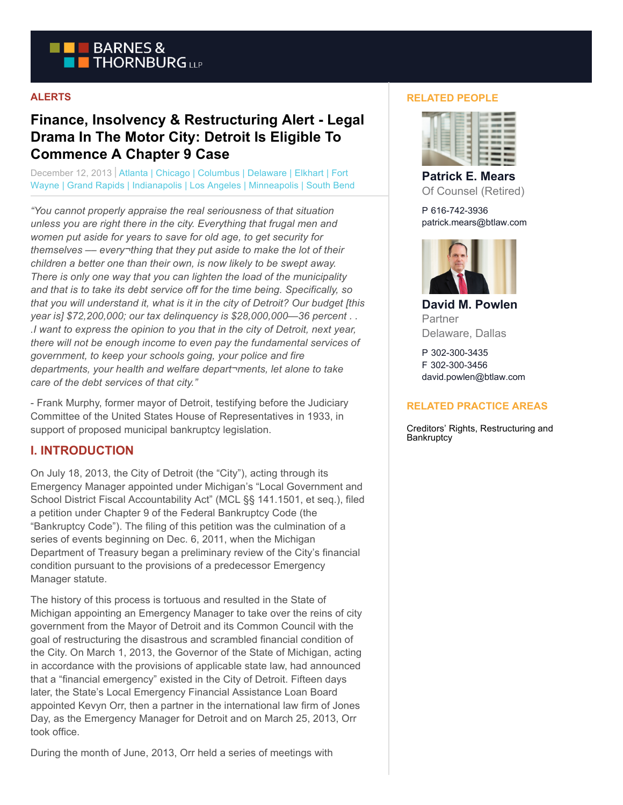

### **ALERTS**

# **Finance, Insolvency & Restructuring Alert - Legal Drama In The Motor City: Detroit Is Eligible To Commence A Chapter 9 Case**

December 12, 2013 | Atlanta | Chicago | Columbus | Delaware | Elkhart | Fort Wayne | Grand Rapids | Indianapolis | Los Angeles | Minneapolis | South Bend

*"You cannot properly appraise the real seriousness of that situation unless you are right there in the city. Everything that frugal men and women put aside for years to save for old age, to get security for themselves –– every¬thing that they put aside to make the lot of their children a better one than their own, is now likely to be swept away. There is only one way that you can lighten the load of the municipality and that is to take its debt service off for the time being. Specifically, so that you will understand it, what is it in the city of Detroit? Our budget [this year is] \$72,200,000; our tax delinquency is \$28,000,000—36 percent . . .I want to express the opinion to you that in the city of Detroit, next year, there will not be enough income to even pay the fundamental services of government, to keep your schools going, your police and fire departments, your health and welfare depart¬ments, let alone to take care of the debt services of that city."*

- Frank Murphy, former mayor of Detroit, testifying before the Judiciary Committee of the United States House of Representatives in 1933, in support of proposed municipal bankruptcy legislation.

## **I. INTRODUCTION**

On July 18, 2013, the City of Detroit (the "City"), acting through its Emergency Manager appointed under Michigan's "Local Government and School District Fiscal Accountability Act" (MCL §§ 141.1501, et seq.), filed a petition under Chapter 9 of the Federal Bankruptcy Code (the "Bankruptcy Code"). The filing of this petition was the culmination of a series of events beginning on Dec. 6, 2011, when the Michigan Department of Treasury began a preliminary review of the City's financial condition pursuant to the provisions of a predecessor Emergency Manager statute.

The history of this process is tortuous and resulted in the State of Michigan appointing an Emergency Manager to take over the reins of city government from the Mayor of Detroit and its Common Council with the goal of restructuring the disastrous and scrambled financial condition of the City. On March 1, 2013, the Governor of the State of Michigan, acting in accordance with the provisions of applicable state law, had announced that a "financial emergency" existed in the City of Detroit. Fifteen days later, the State's Local Emergency Financial Assistance Loan Board appointed Kevyn Orr, then a partner in the international law firm of Jones Day, as the Emergency Manager for Detroit and on March 25, 2013, Orr took office.

During the month of June, 2013, Orr held a series of meetings with

### **RELATED PEOPLE**



**Patrick E. Mears** Of Counsel (Retired)

P 616-742-3936 patrick.mears@btlaw.com



**David M. Powlen** Partner Delaware, Dallas

P 302-300-3435 F 302-300-3456 david.powlen@btlaw.com

### **RELATED PRACTICE AREAS**

Creditors' Rights, Restructuring and **Bankruptcy**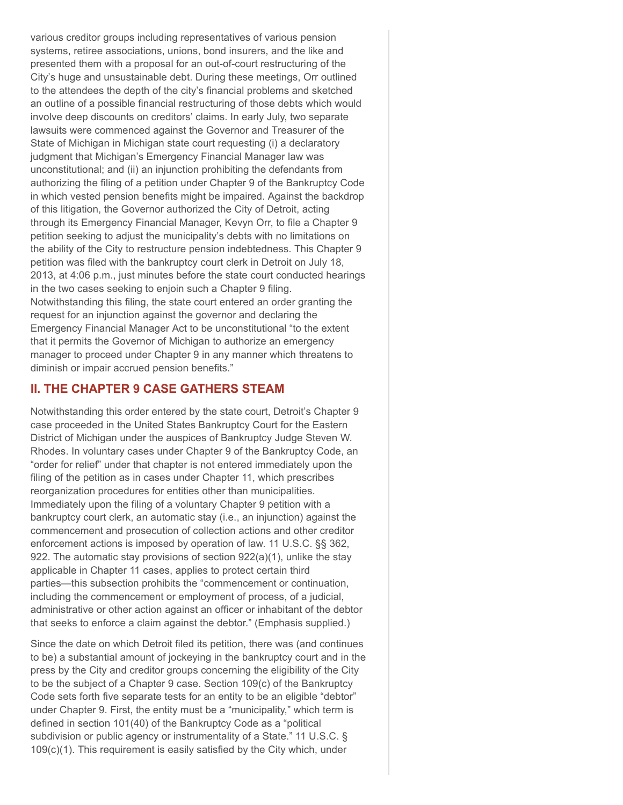various creditor groups including representatives of various pension systems, retiree associations, unions, bond insurers, and the like and presented them with a proposal for an out-of-court restructuring of the City's huge and unsustainable debt. During these meetings, Orr outlined to the attendees the depth of the city's financial problems and sketched an outline of a possible financial restructuring of those debts which would involve deep discounts on creditors' claims. In early July, two separate lawsuits were commenced against the Governor and Treasurer of the State of Michigan in Michigan state court requesting (i) a declaratory judgment that Michigan's Emergency Financial Manager law was unconstitutional; and (ii) an injunction prohibiting the defendants from authorizing the filing of a petition under Chapter 9 of the Bankruptcy Code in which vested pension benefits might be impaired. Against the backdrop of this litigation, the Governor authorized the City of Detroit, acting through its Emergency Financial Manager, Kevyn Orr, to file a Chapter 9 petition seeking to adjust the municipality's debts with no limitations on the ability of the City to restructure pension indebtedness. This Chapter 9 petition was filed with the bankruptcy court clerk in Detroit on July 18, 2013, at 4:06 p.m., just minutes before the state court conducted hearings in the two cases seeking to enjoin such a Chapter 9 filing. Notwithstanding this filing, the state court entered an order granting the request for an injunction against the governor and declaring the Emergency Financial Manager Act to be unconstitutional "to the extent that it permits the Governor of Michigan to authorize an emergency manager to proceed under Chapter 9 in any manner which threatens to diminish or impair accrued pension benefits."

## **II. THE CHAPTER 9 CASE GATHERS STEAM**

Notwithstanding this order entered by the state court, Detroit's Chapter 9 case proceeded in the United States Bankruptcy Court for the Eastern District of Michigan under the auspices of Bankruptcy Judge Steven W. Rhodes. In voluntary cases under Chapter 9 of the Bankruptcy Code, an "order for relief" under that chapter is not entered immediately upon the filing of the petition as in cases under Chapter 11, which prescribes reorganization procedures for entities other than municipalities. Immediately upon the filing of a voluntary Chapter 9 petition with a bankruptcy court clerk, an automatic stay (i.e., an injunction) against the commencement and prosecution of collection actions and other creditor enforcement actions is imposed by operation of law. 11 U.S.C. §§ 362, 922. The automatic stay provisions of section 922(a)(1), unlike the stay applicable in Chapter 11 cases, applies to protect certain third parties—this subsection prohibits the "commencement or continuation, including the commencement or employment of process, of a judicial, administrative or other action against an officer or inhabitant of the debtor that seeks to enforce a claim against the debtor." (Emphasis supplied.)

Since the date on which Detroit filed its petition, there was (and continues to be) a substantial amount of jockeying in the bankruptcy court and in the press by the City and creditor groups concerning the eligibility of the City to be the subject of a Chapter 9 case. Section 109(c) of the Bankruptcy Code sets forth five separate tests for an entity to be an eligible "debtor" under Chapter 9. First, the entity must be a "municipality," which term is defined in section 101(40) of the Bankruptcy Code as a "political subdivision or public agency or instrumentality of a State." 11 U.S.C. § 109(c)(1). This requirement is easily satisfied by the City which, under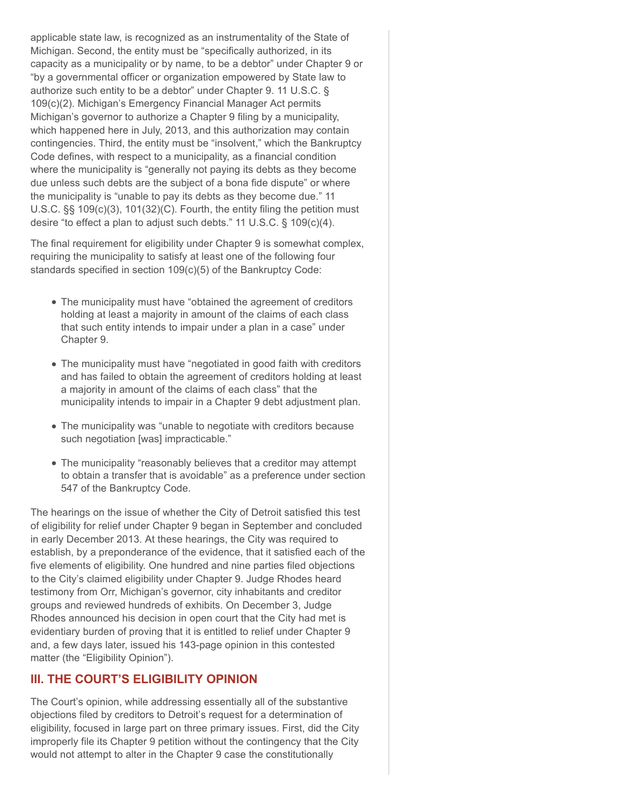applicable state law, is recognized as an instrumentality of the State of Michigan. Second, the entity must be "specifically authorized, in its capacity as a municipality or by name, to be a debtor" under Chapter 9 or "by a governmental officer or organization empowered by State law to authorize such entity to be a debtor" under Chapter 9. 11 U.S.C. § 109(c)(2). Michigan's Emergency Financial Manager Act permits Michigan's governor to authorize a Chapter 9 filing by a municipality, which happened here in July, 2013, and this authorization may contain contingencies. Third, the entity must be "insolvent," which the Bankruptcy Code defines, with respect to a municipality, as a financial condition where the municipality is "generally not paying its debts as they become due unless such debts are the subject of a bona fide dispute" or where the municipality is "unable to pay its debts as they become due." 11 U.S.C. §§ 109(c)(3), 101(32)(C). Fourth, the entity filing the petition must desire "to effect a plan to adjust such debts." 11 U.S.C. § 109(c)(4).

The final requirement for eligibility under Chapter 9 is somewhat complex, requiring the municipality to satisfy at least one of the following four standards specified in section 109(c)(5) of the Bankruptcy Code:

- The municipality must have "obtained the agreement of creditors holding at least a majority in amount of the claims of each class that such entity intends to impair under a plan in a case" under Chapter 9.
- The municipality must have "negotiated in good faith with creditors and has failed to obtain the agreement of creditors holding at least a majority in amount of the claims of each class" that the municipality intends to impair in a Chapter 9 debt adjustment plan.
- The municipality was "unable to negotiate with creditors because such negotiation [was] impracticable."
- The municipality "reasonably believes that a creditor may attempt to obtain a transfer that is avoidable" as a preference under section 547 of the Bankruptcy Code.

The hearings on the issue of whether the City of Detroit satisfied this test of eligibility for relief under Chapter 9 began in September and concluded in early December 2013. At these hearings, the City was required to establish, by a preponderance of the evidence, that it satisfied each of the five elements of eligibility. One hundred and nine parties filed objections to the City's claimed eligibility under Chapter 9. Judge Rhodes heard testimony from Orr, Michigan's governor, city inhabitants and creditor groups and reviewed hundreds of exhibits. On December 3, Judge Rhodes announced his decision in open court that the City had met is evidentiary burden of proving that it is entitled to relief under Chapter 9 and, a few days later, issued his 143-page opinion in this contested matter (the "Eligibility Opinion").

# **III. THE COURT'S ELIGIBILITY OPINION**

The Court's opinion, while addressing essentially all of the substantive objections filed by creditors to Detroit's request for a determination of eligibility, focused in large part on three primary issues. First, did the City improperly file its Chapter 9 petition without the contingency that the City would not attempt to alter in the Chapter 9 case the constitutionally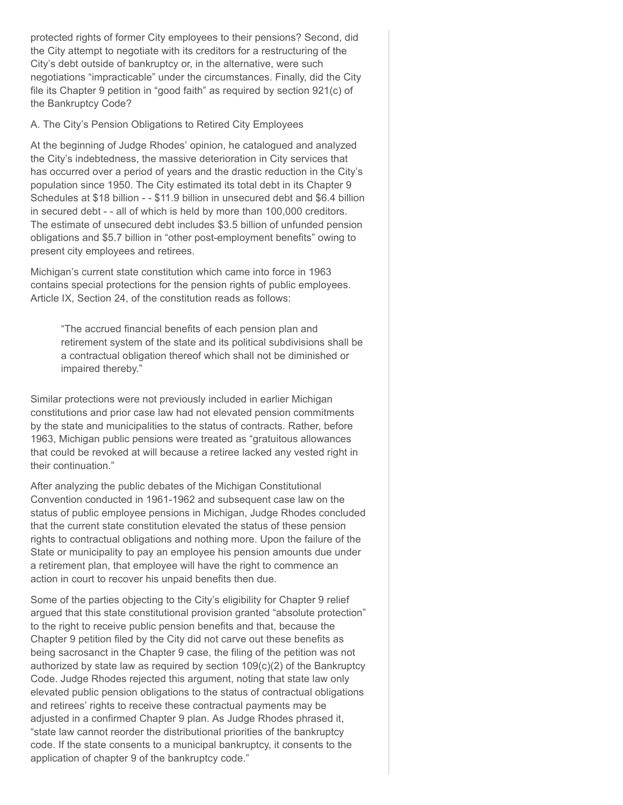protected rights of former City employees to their pensions? Second, did the City attempt to negotiate with its creditors for a restructuring of the City's debt outside of bankruptcy or, in the alternative, were such negotiations "impracticable" under the circumstances. Finally, did the City file its Chapter 9 petition in "good faith" as required by section 921(c) of the Bankruptcy Code?

### A. The City's Pension Obligations to Retired City Employees

At the beginning of Judge Rhodes' opinion, he catalogued and analyzed the City's indebtedness, the massive deterioration in City services that has occurred over a period of years and the drastic reduction in the City's population since 1950. The City estimated its total debt in its Chapter 9 Schedules at \$18 billion - - \$11.9 billion in unsecured debt and \$6.4 billion in secured debt - - all of which is held by more than 100,000 creditors. The estimate of unsecured debt includes \$3.5 billion of unfunded pension obligations and \$5.7 billion in "other post-employment benefits" owing to present city employees and retirees.

Michigan's current state constitution which came into force in 1963 contains special protections for the pension rights of public employees. Article IX, Section 24, of the constitution reads as follows:

"The accrued financial benefits of each pension plan and retirement system of the state and its political subdivisions shall be a contractual obligation thereof which shall not be diminished or impaired thereby."

Similar protections were not previously included in earlier Michigan constitutions and prior case law had not elevated pension commitments by the state and municipalities to the status of contracts. Rather, before 1963, Michigan public pensions were treated as "gratuitous allowances that could be revoked at will because a retiree lacked any vested right in their continuation."

After analyzing the public debates of the Michigan Constitutional Convention conducted in 1961-1962 and subsequent case law on the status of public employee pensions in Michigan, Judge Rhodes concluded that the current state constitution elevated the status of these pension rights to contractual obligations and nothing more. Upon the failure of the State or municipality to pay an employee his pension amounts due under a retirement plan, that employee will have the right to commence an action in court to recover his unpaid benefits then due.

Some of the parties objecting to the City's eligibility for Chapter 9 relief argued that this state constitutional provision granted "absolute protection" to the right to receive public pension benefits and that, because the Chapter 9 petition filed by the City did not carve out these benefits as being sacrosanct in the Chapter 9 case, the filing of the petition was not authorized by state law as required by section 109(c)(2) of the Bankruptcy Code. Judge Rhodes rejected this argument, noting that state law only elevated public pension obligations to the status of contractual obligations and retirees' rights to receive these contractual payments may be adjusted in a confirmed Chapter 9 plan. As Judge Rhodes phrased it, "state law cannot reorder the distributional priorities of the bankruptcy code. If the state consents to a municipal bankruptcy, it consents to the application of chapter 9 of the bankruptcy code."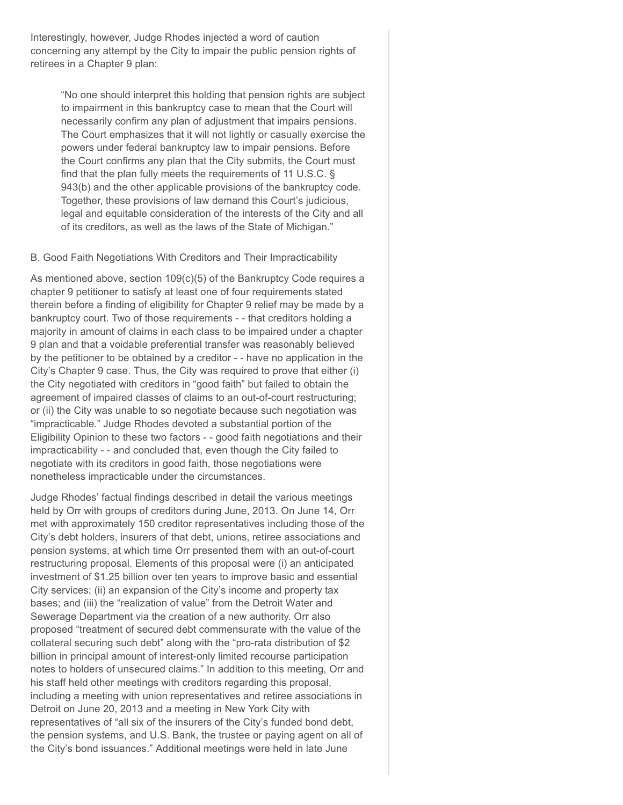Interestingly, however, Judge Rhodes injected a word of caution concerning any attempt by the City to impair the public pension rights of retirees in a Chapter 9 plan:

"No one should interpret this holding that pension rights are subject to impairment in this bankruptcy case to mean that the Court will necessarily confirm any plan of adjustment that impairs pensions. The Court emphasizes that it will not lightly or casually exercise the powers under federal bankruptcy law to impair pensions. Before the Court confirms any plan that the City submits, the Court must find that the plan fully meets the requirements of 11 U.S.C. § 943(b) and the other applicable provisions of the bankruptcy code. Together, these provisions of law demand this Court's judicious, legal and equitable consideration of the interests of the City and all of its creditors, as well as the laws of the State of Michigan."

### B. Good Faith Negotiations With Creditors and Their Impracticability

As mentioned above, section 109(c)(5) of the Bankruptcy Code requires a chapter 9 petitioner to satisfy at least one of four requirements stated therein before a finding of eligibility for Chapter 9 relief may be made by a bankruptcy court. Two of those requirements - - that creditors holding a majority in amount of claims in each class to be impaired under a chapter 9 plan and that a voidable preferential transfer was reasonably believed by the petitioner to be obtained by a creditor - - have no application in the City's Chapter 9 case. Thus, the City was required to prove that either (i) the City negotiated with creditors in "good faith" but failed to obtain the agreement of impaired classes of claims to an out-of-court restructuring; or (ii) the City was unable to so negotiate because such negotiation was "impracticable." Judge Rhodes devoted a substantial portion of the Eligibility Opinion to these two factors - - good faith negotiations and their impracticability - - and concluded that, even though the City failed to negotiate with its creditors in good faith, those negotiations were nonetheless impracticable under the circumstances.

Judge Rhodes' factual findings described in detail the various meetings held by Orr with groups of creditors during June, 2013. On June 14, Orr met with approximately 150 creditor representatives including those of the City's debt holders, insurers of that debt, unions, retiree associations and pension systems, at which time Orr presented them with an out-of-court restructuring proposal. Elements of this proposal were (i) an anticipated investment of \$1.25 billion over ten years to improve basic and essential City services; (ii) an expansion of the City's income and property tax bases; and (iii) the "realization of value" from the Detroit Water and Sewerage Department via the creation of a new authority. Orr also proposed "treatment of secured debt commensurate with the value of the collateral securing such debt" along with the "pro-rata distribution of \$2 billion in principal amount of interest-only limited recourse participation notes to holders of unsecured claims." In addition to this meeting, Orr and his staff held other meetings with creditors regarding this proposal, including a meeting with union representatives and retiree associations in Detroit on June 20, 2013 and a meeting in New York City with representatives of "all six of the insurers of the City's funded bond debt, the pension systems, and U.S. Bank, the trustee or paying agent on all of the City's bond issuances." Additional meetings were held in late June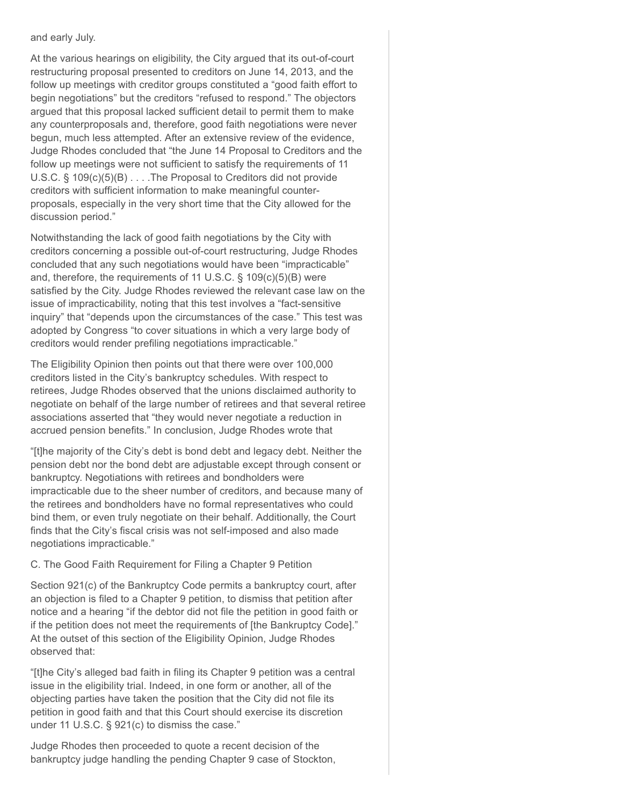#### and early July.

At the various hearings on eligibility, the City argued that its out-of-court restructuring proposal presented to creditors on June 14, 2013, and the follow up meetings with creditor groups constituted a "good faith effort to begin negotiations" but the creditors "refused to respond." The objectors argued that this proposal lacked sufficient detail to permit them to make any counterproposals and, therefore, good faith negotiations were never begun, much less attempted. After an extensive review of the evidence, Judge Rhodes concluded that "the June 14 Proposal to Creditors and the follow up meetings were not sufficient to satisfy the requirements of 11 U.S.C. § 109(c)(5)(B) . . . .The Proposal to Creditors did not provide creditors with sufficient information to make meaningful counterproposals, especially in the very short time that the City allowed for the discussion period."

Notwithstanding the lack of good faith negotiations by the City with creditors concerning a possible out-of-court restructuring, Judge Rhodes concluded that any such negotiations would have been "impracticable" and, therefore, the requirements of 11 U.S.C. § 109(c)(5)(B) were satisfied by the City. Judge Rhodes reviewed the relevant case law on the issue of impracticability, noting that this test involves a "fact-sensitive inquiry" that "depends upon the circumstances of the case." This test was adopted by Congress "to cover situations in which a very large body of creditors would render prefiling negotiations impracticable."

The Eligibility Opinion then points out that there were over 100,000 creditors listed in the City's bankruptcy schedules. With respect to retirees, Judge Rhodes observed that the unions disclaimed authority to negotiate on behalf of the large number of retirees and that several retiree associations asserted that "they would never negotiate a reduction in accrued pension benefits." In conclusion, Judge Rhodes wrote that

"[t]he majority of the City's debt is bond debt and legacy debt. Neither the pension debt nor the bond debt are adjustable except through consent or bankruptcy. Negotiations with retirees and bondholders were impracticable due to the sheer number of creditors, and because many of the retirees and bondholders have no formal representatives who could bind them, or even truly negotiate on their behalf. Additionally, the Court finds that the City's fiscal crisis was not self-imposed and also made negotiations impracticable."

### C. The Good Faith Requirement for Filing a Chapter 9 Petition

Section 921(c) of the Bankruptcy Code permits a bankruptcy court, after an objection is filed to a Chapter 9 petition, to dismiss that petition after notice and a hearing "if the debtor did not file the petition in good faith or if the petition does not meet the requirements of [the Bankruptcy Code]." At the outset of this section of the Eligibility Opinion, Judge Rhodes observed that:

"[t]he City's alleged bad faith in filing its Chapter 9 petition was a central issue in the eligibility trial. Indeed, in one form or another, all of the objecting parties have taken the position that the City did not file its petition in good faith and that this Court should exercise its discretion under 11 U.S.C. § 921(c) to dismiss the case."

Judge Rhodes then proceeded to quote a recent decision of the bankruptcy judge handling the pending Chapter 9 case of Stockton,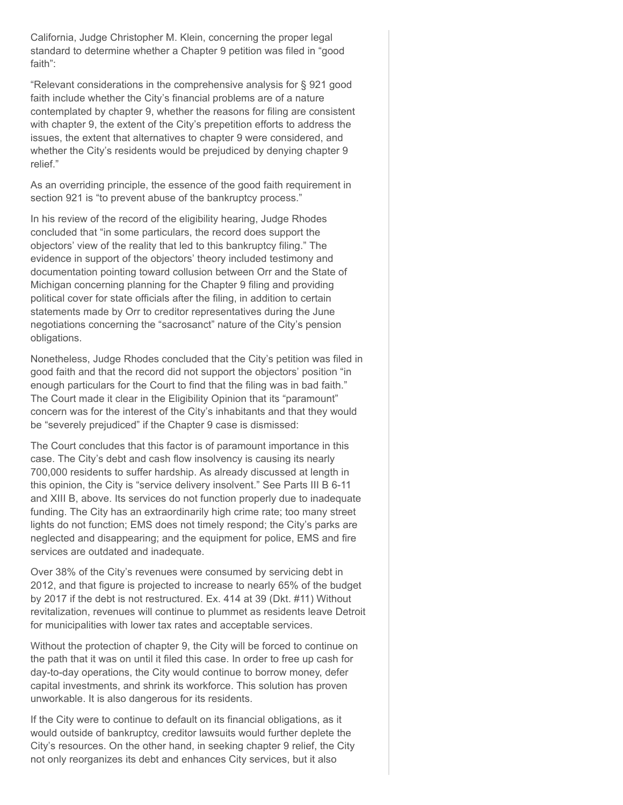California, Judge Christopher M. Klein, concerning the proper legal standard to determine whether a Chapter 9 petition was filed in "good faith":

"Relevant considerations in the comprehensive analysis for § 921 good faith include whether the City's financial problems are of a nature contemplated by chapter 9, whether the reasons for filing are consistent with chapter 9, the extent of the City's prepetition efforts to address the issues, the extent that alternatives to chapter 9 were considered, and whether the City's residents would be prejudiced by denying chapter 9 relief."

As an overriding principle, the essence of the good faith requirement in section 921 is "to prevent abuse of the bankruptcy process."

In his review of the record of the eligibility hearing, Judge Rhodes concluded that "in some particulars, the record does support the objectors' view of the reality that led to this bankruptcy filing." The evidence in support of the objectors' theory included testimony and documentation pointing toward collusion between Orr and the State of Michigan concerning planning for the Chapter 9 filing and providing political cover for state officials after the filing, in addition to certain statements made by Orr to creditor representatives during the June negotiations concerning the "sacrosanct" nature of the City's pension obligations.

Nonetheless, Judge Rhodes concluded that the City's petition was filed in good faith and that the record did not support the objectors' position "in enough particulars for the Court to find that the filing was in bad faith." The Court made it clear in the Eligibility Opinion that its "paramount" concern was for the interest of the City's inhabitants and that they would be "severely prejudiced" if the Chapter 9 case is dismissed:

The Court concludes that this factor is of paramount importance in this case. The City's debt and cash flow insolvency is causing its nearly 700,000 residents to suffer hardship. As already discussed at length in this opinion, the City is "service delivery insolvent." See Parts III B 6-11 and XIII B, above. Its services do not function properly due to inadequate funding. The City has an extraordinarily high crime rate; too many street lights do not function; EMS does not timely respond; the City's parks are neglected and disappearing; and the equipment for police, EMS and fire services are outdated and inadequate.

Over 38% of the City's revenues were consumed by servicing debt in 2012, and that figure is projected to increase to nearly 65% of the budget by 2017 if the debt is not restructured. Ex. 414 at 39 (Dkt. #11) Without revitalization, revenues will continue to plummet as residents leave Detroit for municipalities with lower tax rates and acceptable services.

Without the protection of chapter 9, the City will be forced to continue on the path that it was on until it filed this case. In order to free up cash for day-to-day operations, the City would continue to borrow money, defer capital investments, and shrink its workforce. This solution has proven unworkable. It is also dangerous for its residents.

If the City were to continue to default on its financial obligations, as it would outside of bankruptcy, creditor lawsuits would further deplete the City's resources. On the other hand, in seeking chapter 9 relief, the City not only reorganizes its debt and enhances City services, but it also